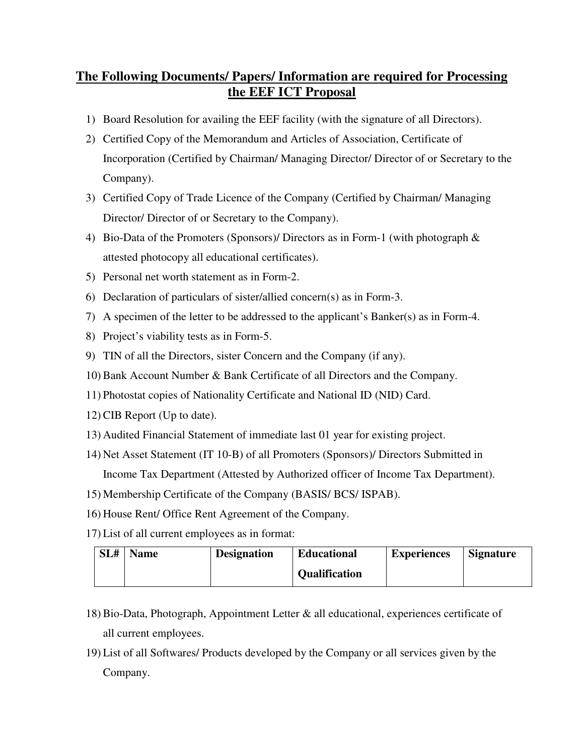## **The Following Documents/ Papers/ Information are required for Processing the EEF ICT Proposal**

- 1) Board Resolution for availing the EEF facility (with the signature of all Directors).
- 2) Certified Copy of the Memorandum and Articles of Association, Certificate of Incorporation (Certified by Chairman/ Managing Director/ Director of or Secretary to the Company).
- 3) Certified Copy of Trade Licence of the Company (Certified by Chairman/ Managing Director/ Director of or Secretary to the Company).
- 4) Bio-Data of the Promoters (Sponsors)/ Directors as in Form-1 (with photograph & attested photocopy all educational certificates).
- 5) Personal net worth statement as in Form-2.
- 6) Declaration of particulars of sister/allied concern(s) as in Form-3.
- 7) A specimen of the letter to be addressed to the applicant's Banker(s) as in Form-4.
- 8) Project's viability tests as in Form-5.
- 9) TIN of all the Directors, sister Concern and the Company (if any).
- 10) Bank Account Number & Bank Certificate of all Directors and the Company.
- 11) Photostat copies of Nationality Certificate and National ID (NID) Card.
- 12) CIB Report (Up to date).
- 13) Audited Financial Statement of immediate last 01 year for existing project.
- 14) Net Asset Statement (IT 10-B) of all Promoters (Sponsors)/ Directors Submitted in Income Tax Department (Attested by Authorized officer of Income Tax Department).
- 15) Membership Certificate of the Company (BASIS/ BCS/ ISPAB).
- 16) House Rent/ Office Rent Agreement of the Company.
- 17) List of all current employees as in format:

| SL# | <b>Name</b> | <b>Designation</b> | <b>Educational</b>   | <b>Experiences</b> | <b>Signature</b> |
|-----|-------------|--------------------|----------------------|--------------------|------------------|
|     |             |                    | <b>Qualification</b> |                    |                  |

- 18) Bio-Data, Photograph, Appointment Letter & all educational, experiences certificate of all current employees.
- 19) List of all Softwares/ Products developed by the Company or all services given by the Company.